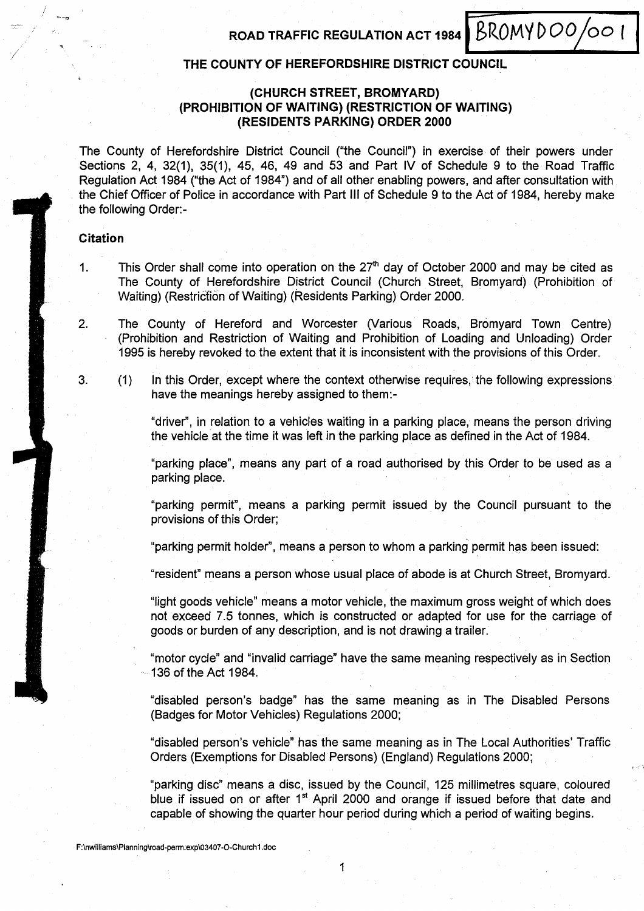ROAD TRAFFIC REGULATION ACT 1984 ~BkOm -

YDOO oo <sup>1</sup>

# THE COUNTY OF HEREFORDSHIRE DISTRICT COUNCIL

# (CHURCH STREET, BROMYARD) (PROHIBITION OF WAITING) (RESTRICTION OF WAITING) (RESIDENTS PARKING) ORDER 2000

The County of Herefordshire District Council ("the Council") in exercise of their powers under Sections 2, 4, 32(1), 35(1), 45, 46, 49 and 53 and Part IV of Schedule 9 to the Road Traffic Regulation Act 1984 ("the Act of 1984") and of all other enabling powers, and after consultation with the Chief Officer of Police in accordance with Part III of Schedule 9 to the Act of 1984, hereby make the following Order:-

## Citation

- 1. This Order shall come into operation on the  $27<sup>th</sup>$  day of October 2000 and may be cited as The County of Herefordshire District Council (Church Street, Bromyard) (Prohibition of Waiting) (Restriction of Waiting) (Residents Parking) Order 2000.
- 2. The County of Hereford and Worcester (Various Roads, Bromyard Town Centre) (Prohibition and Restriction of Waiting and Prohibition of Loading and Unloading) Order 1995 is hereby revoked to the extent that it is inconsistent with the provisions of this Order.
- 3. (1) In this Order, except where the context otherwise requires,'the following expressions have the meanings hereby assigned to them:-

"driver", in relation to a vehicles waiting in a parking place, means the person driving the vehicle at the time it was left in the parking place as defined in the Act of 1984.

"parking place", means any part of a road authorised by this Order to be used as a parking place.

"parking permit", means a parking permit issued by the Council pursuant to the provisions of this Order;

"parking permit holder", means a person to whom a parking permit has been issued :

"resident" means a person whose usual place of abode is at Church Street, Bromyard .

"light goods vehicle" means a motor vehicle, the maximum gross weight of which does not exceed 7.5 tonnes, which is constructed or adapted for use for the carriage of goods or burden of any description, and is not drawing a trailer.

"motor cycle" and "invalid carriage" have the same meaning respectively as in Section 136 of the Act 1984.

"disabled person's badge" has the same meaning as in The Disabled Persons (Badges for Motor Vehicles) Regulations 2000 ;

"disabled person's vehicle" has the same meaning as in The Local Authorities' Traffic Orders (Exemptions for Disabled Persons) (England) Regulations 2000 ;

"parking disc" means a disc, issued by the Council, 125 millimetres square, coloured blue if issued on or after 1<sup>st</sup> April 2000 and orange if issued before that date and capable of showing the quarter hour period during which a period of waiting begins.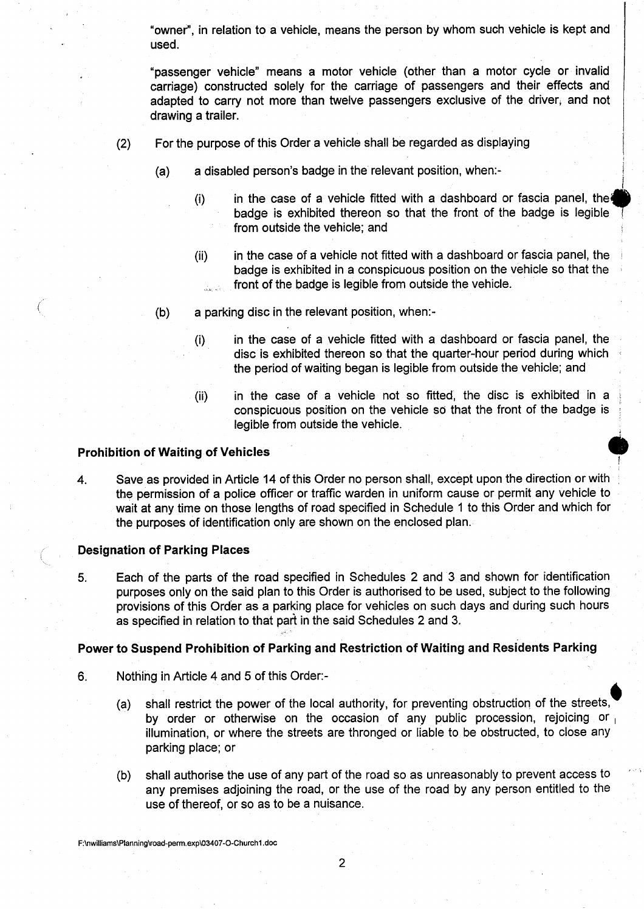"owner", in relation to <sup>a</sup> vehicle, means the person by whom such vehicle is kept and used.

"passenger vehicle" means a motor vehicle (other than a motor cycle or invalid carriage) constructed solely for the carriage of passengers and their effects and adapted to carry not more than twelve passengers exclusive of the driver, and not drawing a trailer.

- (2) For the purpose of this Order a vehicle shall be regarded as displaying
	- (a) a disabled person's badge in the relevant position, when:-
		- $(i)$  in the case of a vehicle fitted with a dashboard or fascia panel, the badge is exhibited thereon so that the front of the badge is legible from outside the vehicle; and
		- (ii) in the case of a vehicle not fitted with a dashboard or fascia panel, the badge is exhibited in a conspicuous position on the vehicle so that the front of the badge is legible from outside the vehicle.
	- (b) a parking disc in the relevant position, when:-
		- 0) in the case of a vehicle fitted with a dashboard or fascia panel, the disc is exhibited thereon so that the quarter-hour period during which the period of waiting began is legible from outside the vehicle; and
		- (ii) in the case of a vehicle not so fitted, the disc is exhibited in a conspicuous position on the vehicle so that the front of the badge is legible from outside the vehicle.

#### Prohibition of Waiting of Vehicles

4. Save as provided in Article 14 of this Order no person shall, except upon the direction or with the permission of a police officer or traffic warden in uniform cause or permit any vehicle to wait at any time on those lengths of road specified in Schedule <sup>1</sup> to this Order and which for the purposes of identification only are shown on the enclosed plan.

#### Designation of Parking Places

5 . Each of the parts of the road specified in Schedules 2 and 3 and shown for identification purposes only on the said plan to this Order is authorised to be used, subject to the following provisions of this Order as a parking place for vehicles on such days and during such hours as specified in relation to that part in the said Schedules 2 and 3.

#### Power to Suspend Prohibition of Parking and Restriction of Waiting and Residents Parking

- 6 . Nothing in Article 4 and 5 of this Order:
	- by order or otherwise on the occasion of any public procession, rejoicing or illumination, or where the streets are thronged or liable to be obstructed, to close any parking place; or (a) shall restrict the power of the local authority, for preventing obstruction of the streets,
	- (b) shall authorise the use of any part of the road so as unreasonably to prevent access to any premises adjoining the road, or the use of the road by any person entitled to the use of thereof, or so as to be a nuisance.

F:\nwilliams\Planning\road-perm .exp\03407-O-Churchl .doc

 $\overline{2}$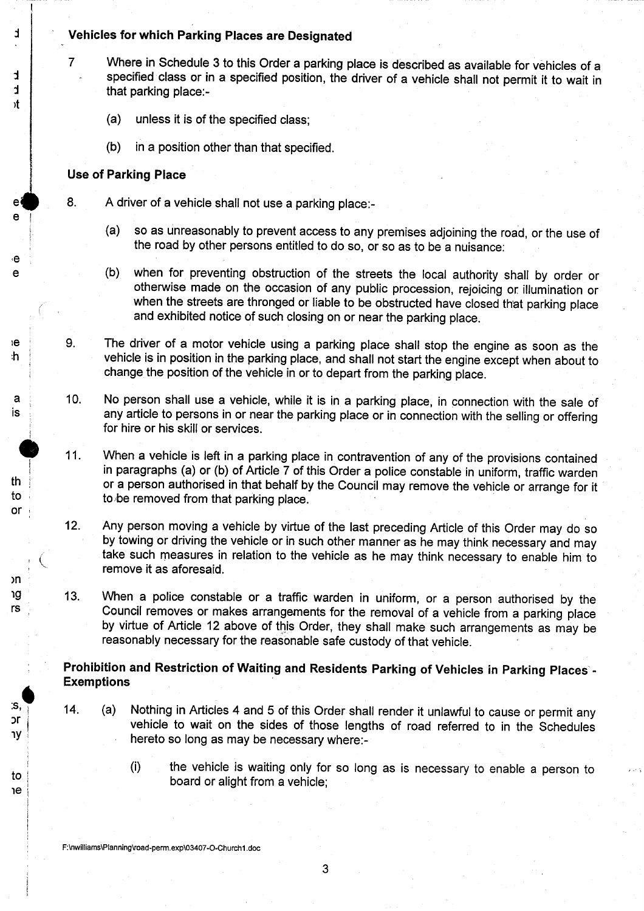# Vehicles for which Parking Places are Designated

- 7 Where in Schedule 3 to this Order a parking place is described as available for vehicles of a specified class or in a specified position, the driver of a vehicle shall not permit it to wait in that parking place:-
	- (a) unless it is of the specified class;
	- (b) in a position other than that specified.

#### Use of Parking Place

rn Ig I's

th. to l  $or$ 

e.

٠e

e  $\mathbf h$ 

Ŀ

Ŀ Ŀ νf.

to ie

 $\mathbf{s},$ Эr ηy

- e 8. A driver of a vehicle shall not use a parking place:-
	- (a) so as unreasonably to prevent access to any premises adjoining the road, or the use of the road by other persons entitled to do so, or so as to be a nuisance:
- e (b) when for preventing obstruction of the streets the local authority shall by order or otherwise made on the occasion of any public procession, rejoicing or illumination or when the streets are thronged or liable to be obstructed have closed that parking place and exhibited notice of such closing on or near the parking place.
	- 9. The driver of a motor vehicle using a parking place shall stop the engine as soon as the vehicle is in position in the parking place, and shall not start the engine except when about to change the position of the vehicle in or to depart from the parking place.
- a 10. No person shall use a vehicle, while it is in a parking place, in connection with the sale of<br>is any article to persons in or near the parking place or in connection with the selling or offering any article to persons in or near the parking place or in connection with the selling or offering for hire or his skill or services .
	- <sup>11</sup> . When a vehicle is left in a parking place in contravention of any of the provisions contained in paragraphs (a) or (b) of Article 7 of this Order a police constable in uniform, traffic warden or a person authorised in that behalf by the Council may remove the vehicle or arrange for it to be removed from that parking place.
	- 12. Any person moving a vehicle by virtue of the last preceding Article of this Order may do so by towing or driving the vehicle or in such other manner as he may think necessary and may take such measures in relation to the vehicle as he may think necessary to enable him to remove it as aforesaid.
	- 13. When a police constable or a traffic warden in uniform, or a person authorised by the Council removes or makes arrangements for the removal of a vehicle from a parking place by virtue of Article 12 above of this Order, they shall make such arrangements as may be reasonably necessary for the reasonable safe custody of that vehicle.

Prohibition and Restriction of Waiting and Residents Parking of Vehicles in Parking Places'- **Exemptions** 

- 14. (a) Nothing in Articles 4 and 5 of this Order shall render it unlawful to cause or permit any vehicle to wait on the sides of those lengths of road referred to in the Schedules hereto so long as may be necessary where:
	- the vehicle is waiting only for so long as is necessary to enable a person to  $(i)$ board or alight from a vehicle;

F :\nwilliams\Planning\road-perm .exp\03407-O-Churchl .doe

3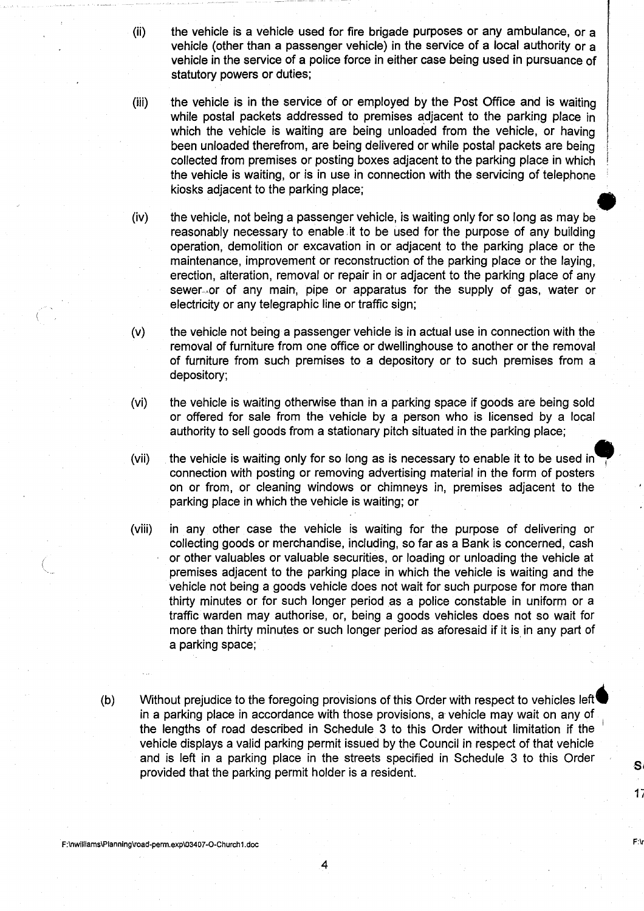- (ii) the vehicle is a vehicle used for fire brigade purposes or any ambulance, or a vehicle (other than a passenger vehicle) in the service of a local authority or a vehicle in the service of a police force in either case being used in pursuance of statutory powers or duties;
- the vehicle is in the service of or employed by the Post Office and is waiting  $(iii)$ while postal packets addressed to premises adjacent to the parking place in which the vehicle is waiting are being unloaded from the vehicle, or having been unloaded therefrom, are being delivered or while postal packets are being collected from premises or posting boxes adjacent to the parking place in which the vehicle is waiting, or is in use in connection with the servicing of telephone kiosks adjacent to the parking place;
- (iv) the vehicle, not being a passenger vehicle, is waiting only for so long as may be reasonably necessary to enable .it to be used for the purpose of any building operation, demolition or excavation in or adjacent to the parking place or the maintenance, improvement or reconstruction of the parking place or the laying, erection, alteration, removal or repair in or adjacent to the parking place of any sewer<sub>-o</sub>or of any main, pipe or apparatus for the supply of gas, water or electricity or any telegraphic line or traffic sign;
- (v) the vehicle not being a passenger vehicle is in actual use in connection with the removal of furniture from one office or dwellinghouse to another or the removal of furniture from such premises to a depository or to such premises from a depository;
- (vi) the vehicle is waiting otherwise than in a parking space if goods are being sold or offered for sale from the vehicle by a person who is licensed by a local authority to sell goods from a stationary pitch situated in the parking place;
- (vii) the vehicle is waiting only for so long as is necessary to enable it to be used in connection with posting or removing advertising material in the form of posters on or from, or cleaning windows or chimneys in, premises adjacent to the parking place in which the vehicle is waiting; or
- (viii) in any other case the vehicle is waiting for the purpose of delivering or collecting goods or merchandise, including, so far as a Bank is concerned, cash or other valuables or valuable securities, or loading or unloading the vehicle at premises adjacent to the parking place in which the vehicle is waiting and the vehicle not being a goods vehicle does not wait for such purpose for more than thirty minutes or for such longer period as a police constable in uniform or a traffic warden may authorise, or, being a goods vehicles does not so wait for more than thirty minutes or such longer period as aforesaid if it is in any part of a parking space;
- (b) Without prejudice to the foregoing provisions of this Order with respect to vehicles left in a parking place in accordance with those provisions, a vehicle may wait on any of the lengths of road described in Schedule 3 to this Order without limitation if the vehicle displays a valid parking permit issued by the Council in respect of that vehicle and is left in a parking place in the streets specified in Schedule 3 to this Order provided that the parking permit holder is a resident.

S.

17

F:\nwilliams\Planning\road-perm .exp\03407-O-Churchl .doc F:\r

4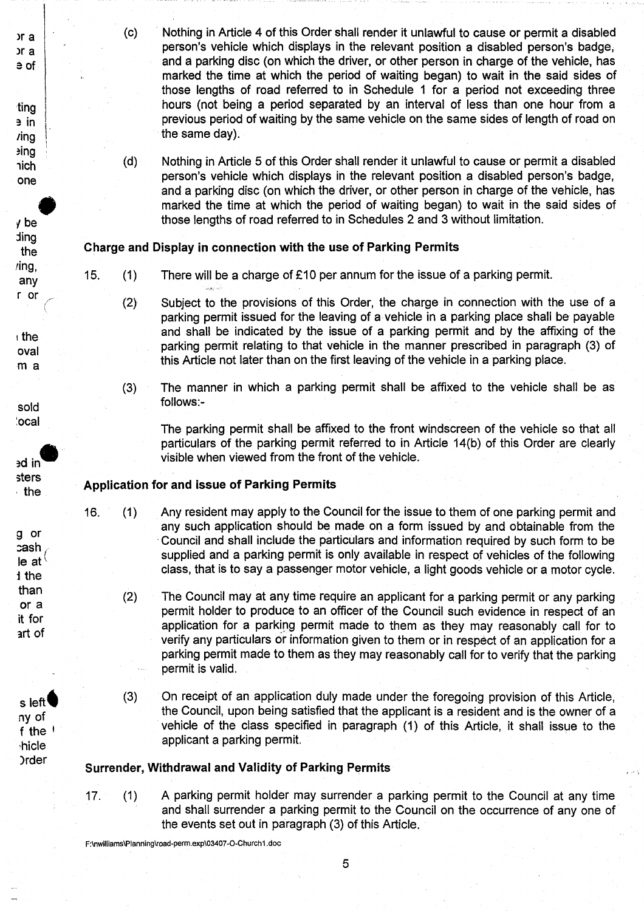(c) Nothing in Article 4 of this Order shall render it unlawful to cause or permit a disabled person's vehicle which displays in the relevant position a disabled person's badge, and a parking disc (on which the driver, or other person in charge of the vehicle, has marked the time at which the period of waiting began) to wait in the said sides of those lengths of road referred to in Schedule <sup>1</sup> for a period not exceeding three hours (not being a period separated by an interval of less than one hour from a previous period of waiting by the same vehicle on the same sides of length of road on the same day).

(d) Nothing in Article 5 of this Order shall render it unlawful to cause or permit a disabled person's vehicle which displays in the relevant position a disabled person's badge, and a parking disc (on which the driver, or other person in charge of the vehicle, has marked the time at which the period of waiting began) to wait in the said sides of those lengths of road referred to in Schedules 2 and 3 without limitation .

# Charge and Display in connection with the use of Parking Permits

- 15.  $(1)$  There will be a charge of £10 per annum for the issue of a parking permit.
	- (2) Subject to the provisions of this Order, the charge in connection with the use of a parking permit issued for the leaving of a vehicle in a parking place shall be payable and shall be indicated by the issue of a parking permit and by the affixing of the parking permit relating to that vehicle in the manner prescribed in paragraph (3) of this Article not later than on the first leaving of the vehicle in a parking place .
	- The manner in which a parking permit shall be affixed to the vehicle shall be as  $(3)$ follows:-

The parking permit shall be affixed to the front windscreen of the vehicle so that all particulars of the parking permit referred to in Article 14(b) of this Order are clearly visible when viewed from the front of the vehicle.

#### Application for and issue of Parking Permits

<sub>or</sub> a or a e of

ting  $\frac{1}{2}$  in  $\lim_{\Omega}$ prie **nich** one

 $y$  be ding the  $\mathbf{f}$ ing, any r or

 $\pm$  the oval m a

sold :ocal

ad in sters  $\cdot$  the

g or cash le at  $\frac{1}{2}$ i the than or a it for art of

s left ny of f the hicle **)rder** 

- 16. (1) Any resident may apply to the Council for the issue to them of one parking permit and any such application should be made on a form issued by and obtainable from the Council and shall include the particulars and information required by such form to be supplied and a parking permit is only available in respect of vehicles of the following class, that is to say a passenger motor vehicle, a light goods vehicle or a motor cycle.
	- (2) The Council may at any time require an applicant for a parking permit or any parking permit holder to produce to an officer of the Council such evidence in respect of an application for a parking permit made to them as they may reasonably call for to verify any particulars or information given to them or in respect of an application for a parking permit made to them as they may reasonably call for to verify that the parking permit is valid.
	- On receipt of an application duly made under the foregoing provision of this Article,  $(3)$ the Council, upon being satisfied that the applicant is a resident and is the owner of a vehicle of the class specified in paragraph (1) of this Article, it shall issue to the applicant a parking permit.

#### Surrender, Withdrawal and Validity of Parking Permits

17. (1) A parking permit holder may surrender a parking permit to the Council at any time and shall surrender a parking permit to the Council on the occurrence of any one of the events set out in paragraph (3) of this Article.

f:\nwilliams\Planning\road-perm .exp\03407-O-Churchl .doc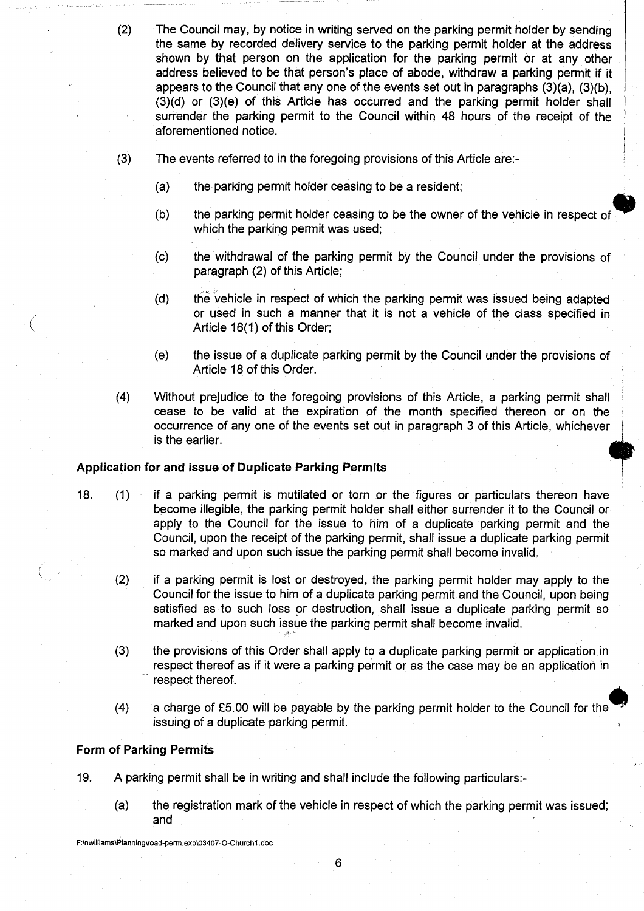- (2) The Council may, by notice in writing served on the parking permit holder by sending the same by recorded delivery service to the parking permit holder at the address shown by that person on the application for the parking permit or at any other address believed to be that person's place of abode, withdraw a parking permit if it appears to the Council that any one of the events set out in paragraphs (3)(a), (3)(b), (3)(d) or (3)(e) of this Article has occurred and the parking permit holder shall surrender the parking permit to the Council within 48 hours of the receipt of the aforementioned notice .
- $(3)$ The events referred to in the foregoing provisions of this Article are:-
	- (a) the parking permit holder ceasing to be a resident;
	- (b) the parking permit holder ceasing to be the owner of the vehicle in respect of which the parking permit was used;
	- $(c)$ the withdrawal of the parking permit by the Council under the provisions of paragraph (2) of this Article;
	- the vehicle in respect of which the parking permit was issued being adapted  $(d)$ or used in such a manner that it is not a vehicle of the class specified in Article 16(1) of this Order;
	- (e) the issue of a duplicate parking permit by the Council under the provisions of Article 18 of this Order.
- (4) Without prejudice to the foregoing provisions of this Article, a parking permit shall cease to be valid at the expiration of the month specified thereon or on the occurrence of any one of the events set out in paragraph 3 of this Article, whichever is the earlier.

#### Application for and issue of Duplicate Parking Permits

- 18. (1) if a parking permit is mutilated or torn or the figures or particulars thereon have become illegible, the parking permit holder shall either surrender it to the Council or apply to the Council for the issue to him of a duplicate parking permit and the Council, upon the receipt of the parking permit, shall issue a duplicate parking permit so marked and upon such issue the parking permit shall become invalid.
	- (2) if a parking permit is lost or destroyed, the parking permit holder may apply to the Council for the issue to him of a duplicate parking permit and the Council, upon being satisfied as to such loss or destruction, shall issue a duplicate parking permit so marked and upon such issue the parking permit shall become invalid.
	- (3) the provisions of this Order shall apply to a duplicate parking permit or application in respect thereof as if it were a parking permit or as the case may be an application in respect thereof.
	- (4) a charge of £5.00 will be payable by the parking permit holder to the Council for the'' issuing of a duplicate parking permit.

#### Form of Parking Permits

- 19. Aparking permit shall be in writing and shall include the following particulars:-
	- (a) the registration mark of the vehicle in respect of which the parking permit was issued; and

F :\nwilliams\Planning\road-perm .exp\03407-O-Church1 .doc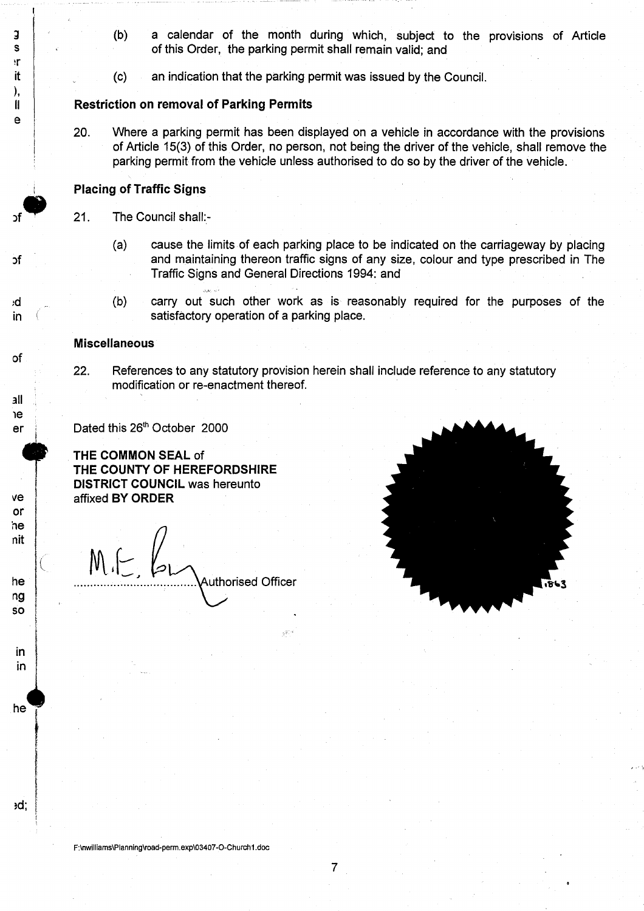- 3 (b) a calendar of the month during which, subject to the provisions of Article<br>s of this Order, the parking permit shall remain valid and of this Order, the parking permit shall remain valid; and
- it  $\vert$  (c) an indication that the parking permit was issued by the Council.<br>),

# II Restriction on removal of Parking Permits

20. Where a parking permit has been displayed on a vehicle in accordance with the provisions of Article 15(3) of this Order, no person, not being the driver of the vehicle, shall remove the parking permit from the vehicle unless authorised to do so by the driver of the vehicle.

# Placing of Traffic Signs

- 21. The Council shall:-
	- (a) cause the limits of each parking place to be indicated on the carriageway by placing and maintaining thereon traffic signs of any size, colour and type prescribed in The Traffic Signs and General Directions 1994: and
- $\mathbf{r}$ :d (b) carry out such other work as is reasonably required for the purposes of the satisfactory operation of a parking place. satisfactory operation of a parking place.

#### Miscellaneous

of

эf

!r

e

i

all ie er

ve or he nit

he ng so

> in in

he

ed:

22. References to any statutory provision herein shall include reference to any statutory modification or re-enactment thereof.

Dated this 26<sup>th</sup> October 2000

THE COMMON SEAL of THE COUNTY OF HEREFORDSHIRE DISTRICT COUNCIL was hereunto affixed BY ORDER

 $M.E.$ Authorised Officer



F:\nwilliams\Planning\road-perm .exp\03407-O-Churchl .doc

7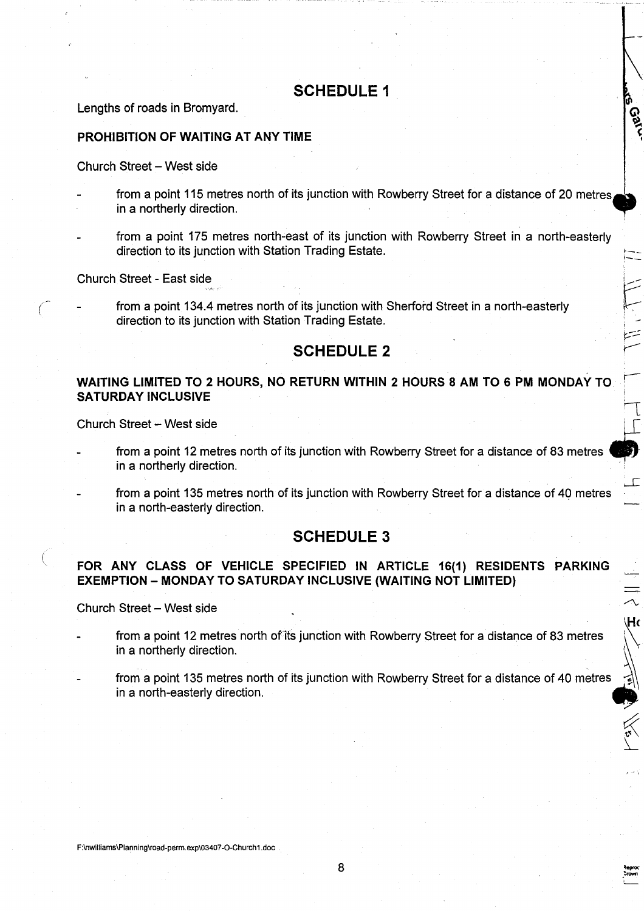# SCHEDULE <sup>I</sup>

ନ୍ତୁ<br>ଦ

 $\Gamma$ 

 $H_0$ 

 $\frac{1}{\sqrt{2}}$ 

eepw

Lengths of roads in Bromyard.

#### PROHIBITION OF WAITING AT ANY TIME

Church Street - West side

- from a point <sup>115</sup> metres north of its junction with Rowberry Street for <sup>a</sup> distance of <sup>20</sup> metres in a northerly direction.
- from a point 175 metres north-east of its junction with Rowberry Street in a north-easterly direction to its junction with Station Trading Estate.

Church Street - East side

from a point 134.4 metres north of its junction with Sherford Street in a north-easterly direction to its junction with Station Trading Estate.

# SCHEDULE <sup>2</sup>

# WAITING LIMITED TO <sup>2</sup> HOURS, NO RETURN WITHIN <sup>2</sup> HOURS <sup>8</sup> AM TO 6 PM MONDAY TO SATURDAY INCLUSIVE

Church Street - West side

- from a point 12 metres north of its junction with Rowberry Street for a distance of 83 metres in a northerly direction.
	- from a point 135 metres north of its junction with Rowberry Street for a distance of 40 metres in a north-easterly direction.

# SCHEDULE <sup>3</sup>

# FOR ANY CLASS OF VEHICLE SPECIFIED IN ARTICLE 16(1) RESIDENTS PARKING EXEMPTION - MONDAY TO SATURDAY INCLUSIVE (WAITING NOT LIMITED)

Church Street - West side

- from a point 12 metres north of its junction with Rowberry Street for a distance of 83 metres in a northerly direction.
	- from a point 135 metres north of its junction with Rowberry Street for a distance of 40 metres in a north-easterly direction.

F:\nwilliams\Planning\road-perm.exp\03407-O-Church1.doc